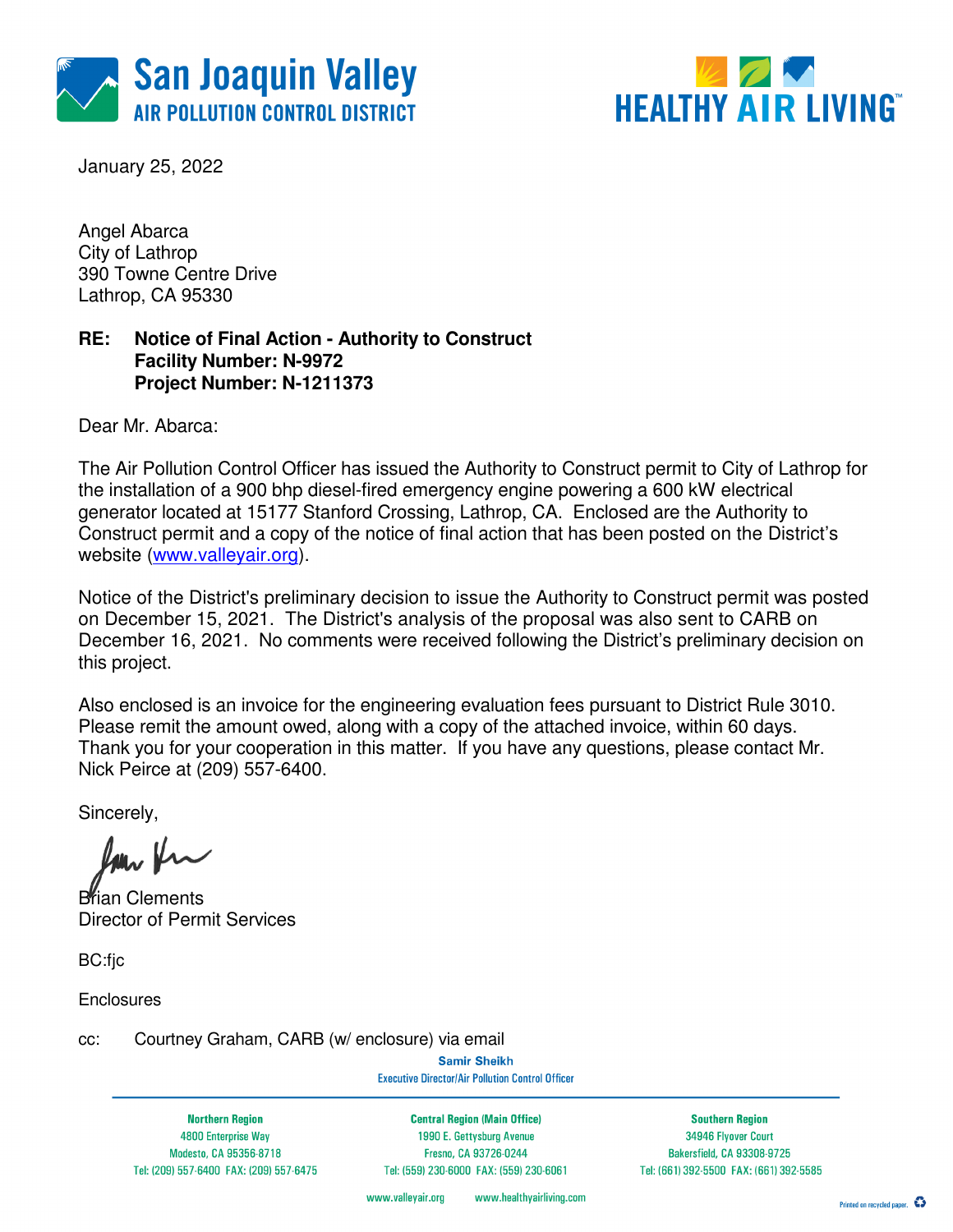



January 25, 2022

Angel Abarca City of Lathrop 390 Towne Centre Drive Lathrop, CA 95330

### **RE: Notice of Final Action - Authority to Construct Facility Number: N-9972 Project Number: N-1211373**

Dear Mr. Abarca:

The Air Pollution Control Officer has issued the Authority to Construct permit to City of Lathrop for the installation of a 900 bhp diesel-fired emergency engine powering a 600 kW electrical generator located at 15177 Stanford Crossing, Lathrop, CA. Enclosed are the Authority to Construct permit and a copy of the notice of final action that has been posted on the District's website (www.valleyair.org).

Notice of the District's preliminary decision to issue the Authority to Construct permit was posted on December 15, 2021. The District's analysis of the proposal was also sent to CARB on December 16, 2021. No comments were received following the District's preliminary decision on this project.

Also enclosed is an invoice for the engineering evaluation fees pursuant to District Rule 3010. Please remit the amount owed, along with a copy of the attached invoice, within 60 days. Thank you for your cooperation in this matter. If you have any questions, please contact Mr. Nick Peirce at (209) 557-6400.

Sincerely,

**Brian Clements** Director of Permit Services

BC:fic

**Enclosures** 

cc: Courtney Graham, CARB (w/ enclosure) via email

**Samir Sheikh Executive Director/Air Pollution Control Officer** 

**Northern Region** 4800 Enterprise Way Modesto, CA 95356-8718 Tel: (209) 557-6400 FAX: (209) 557-6475

**Central Region (Main Office)** 1990 E. Gettysburg Avenue Fresno, CA 93726-0244 Tel: (559) 230-6000 FAX: (559) 230-6061

**Southern Region** 34946 Flyover Court Bakersfield, CA 93308-9725 Tel: (661) 392-5500 FAX: (661) 392-5585

www.healthyairliving.com www.valleyair.org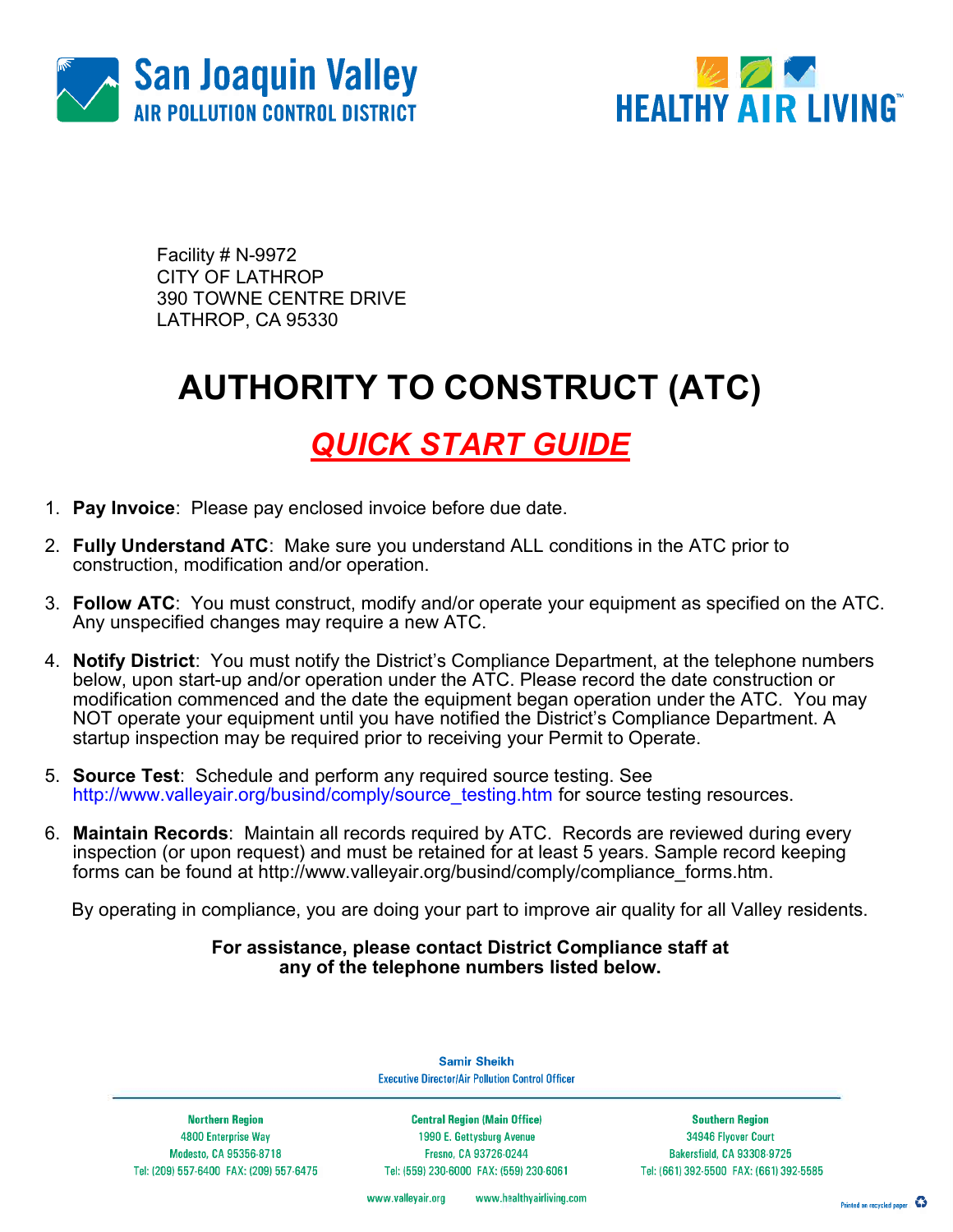



Facility # N-9972 CITY OF LATHROP 390 TOWNE CENTRE DRIVE LATHROP, CA 95330

# AUTHORITY TO CONSTRUCT (ATC)

### QUICK START GUIDE

- 1. Pay Invoice: Please pay enclosed invoice before due date.
- 2. Fully Understand ATC: Make sure you understand ALL conditions in the ATC prior to construction, modification and/or operation.
- 3. Follow ATC: You must construct, modify and/or operate your equipment as specified on the ATC. Any unspecified changes may require a new ATC.
- 4. Notify District: You must notify the District's Compliance Department, at the telephone numbers below, upon start-up and/or operation under the ATC. Please record the date construction or modification commenced and the date the equipment began operation under the ATC. You may NOT operate your equipment until you have notified the District's Compliance Department. A startup inspection may be required prior to receiving your Permit to Operate.
- 5. Source Test: Schedule and perform any required source testing. See http://www.valleyair.org/busind/comply/source\_testing.htm for source testing resources.
- 6. Maintain Records: Maintain all records required by ATC. Records are reviewed during every inspection (or upon request) and must be retained for at least 5 years. Sample record keeping forms can be found at http://www.valleyair.org/busind/comply/compliance\_forms.htm.

By operating in compliance, you are doing your part to improve air quality for all Valley residents.

#### For assistance, please contact District Compliance staff at any of the telephone numbers listed below.

**Northern Region** 4800 Enterprise Way Modesto, CA 95356-8718

Tel: (209) 557-6400 FAX: (209) 557-6475

**Samir Sheikh Executive Director/Air Pollution Control Officer** 

**Central Region (Main Office)** 1990 E. Gettysburg Avenue Fresno, CA 93726-0244 Tel: (559) 230-6000 FAX: (559) 230-6061

**Southern Region** 34946 Flyover Court Bakersfield, CA 93308-9725 Tel: (661) 392-5500 FAX: (661) 392-5585

www.valleyair.org www.healthyairliving.com

Printed on recycled paper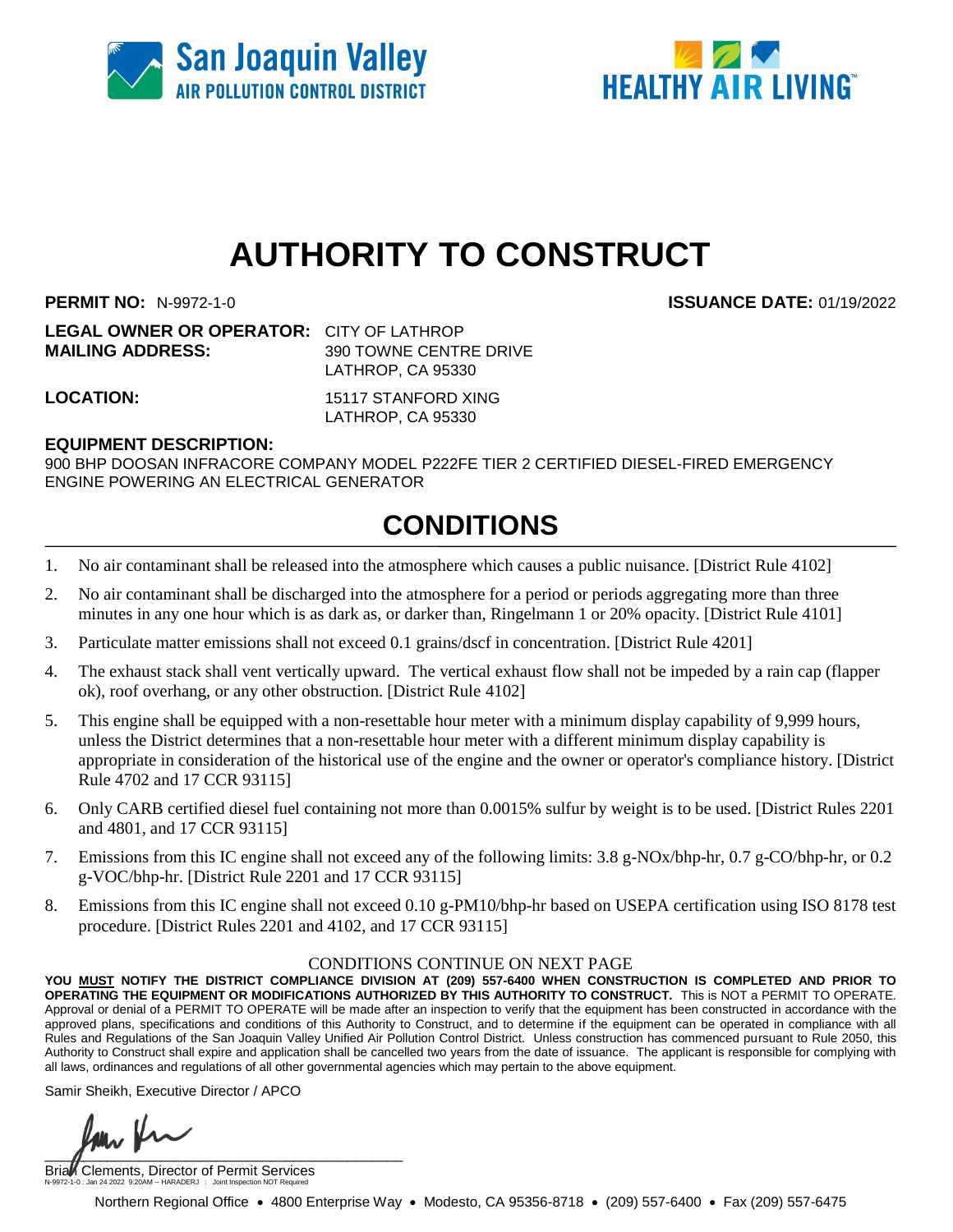



# **AUTHORITY TO CONSTRUCT**

**PERMIT NO:** N-9972-1-0 **ISSUANCE DATE:** 01/19/2022

**LEGAL OWNER OR OPERATOR:** CITY OF LATHROP **MAILING ADDRESS:** 390 TOWNE CENTRE DRIVE

LATHROP, CA 95330

**LOCATION:** 15117 STANFORD XING LATHROP, CA 95330

### **EQUIPMENT DESCRIPTION:**

900 BHP DOOSAN INFRACORE COMPANY MODEL P222FE TIER 2 CERTIFIED DIESEL-FIRED EMERGENCY ENGINE POWERING AN ELECTRICAL GENERATOR

### **CONDITIONS**

- 1. No air contaminant shall be released into the atmosphere which causes a public nuisance. [District Rule 4102]
- 2. No air contaminant shall be discharged into the atmosphere for a period or periods aggregating more than three minutes in any one hour which is as dark as, or darker than, Ringelmann 1 or 20% opacity. [District Rule 4101]
- 3. Particulate matter emissions shall not exceed 0.1 grains/dscf in concentration. [District Rule 4201]
- 4. The exhaust stack shall vent vertically upward. The vertical exhaust flow shall not be impeded by a rain cap (flapper ok), roof overhang, or any other obstruction. [District Rule 4102]
- 5. This engine shall be equipped with a non-resettable hour meter with a minimum display capability of 9,999 hours, unless the District determines that a non-resettable hour meter with a different minimum display capability is appropriate in consideration of the historical use of the engine and the owner or operator's compliance history. [District Rule 4702 and 17 CCR 93115]
- 6. Only CARB certified diesel fuel containing not more than 0.0015% sulfur by weight is to be used. [District Rules 2201 and 4801, and 17 CCR 93115]
- 7. Emissions from this IC engine shall not exceed any of the following limits: 3.8 g-NOx/bhp-hr, 0.7 g-CO/bhp-hr, or 0.2 g-VOC/bhp-hr. [District Rule 2201 and 17 CCR 93115]
- 8. Emissions from this IC engine shall not exceed 0.10 g-PM10/bhp-hr based on USEPA certification using ISO 8178 test procedure. [District Rules 2201 and 4102, and 17 CCR 93115]

#### CONDITIONS CONTINUE ON NEXT PAGE

**YOU MUST NOTIFY THE DISTRICT COMPLIANCE DIVISION AT (209) 557-6400 WHEN CONSTRUCTION IS COMPLETED AND PRIOR TO OPERATING THE EQUIPMENT OR MODIFICATIONS AUTHORIZED BY THIS AUTHORITY TO CONSTRUCT.** This is NOT a PERMIT TO OPERATE. Approval or denial of a PERMIT TO OPERATE will be made after an inspection to verify that the equipment has been constructed in accordance with the approved plans, specifications and conditions of this Authority to Construct, and to determine if the equipment can be operated in compliance with all Rules and Regulations of the San Joaquin Valley Unified Air Pollution Control District. Unless construction has commenced pursuant to Rule 2050, this Authority to Construct shall expire and application shall be cancelled two years from the date of issuance. The applicant is responsible for complying with all laws, ordinances and regulations of all other governmental agencies which may pertain to the above equipment.

Samir Sheikh, Executive Director / APCO

 $\overline{1}$ 

Brial Clements, Director of Permit Services N-9972-1-0 : Jan 24 2022 9:20AM -- HARADERJ : Joint Inspection NOT Required

Northern Regional Office • 4800 Enterprise Way • Modesto, CA 95356-8718 • (209) 557-6400 • Fax (209) 557-6475